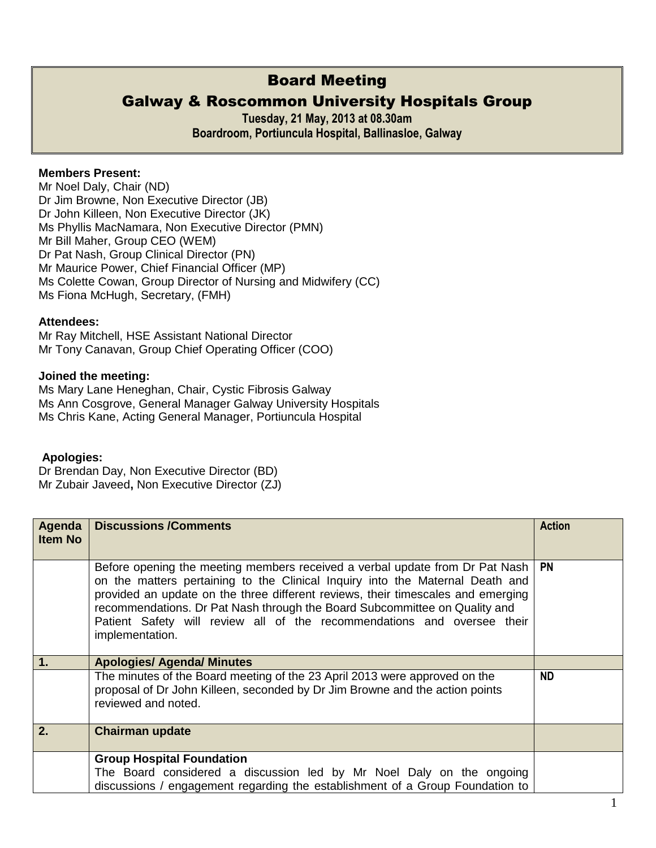# Board Meeting

# Galway & Roscommon University Hospitals Group

**Tuesday, 21 May, 2013 at 08.30am Boardroom, Portiuncula Hospital, Ballinasloe, Galway** 

### **Members Present:**

Mr Noel Daly, Chair (ND) Dr Jim Browne, Non Executive Director (JB) Dr John Killeen, Non Executive Director (JK) Ms Phyllis MacNamara, Non Executive Director (PMN) Mr Bill Maher, Group CEO (WEM) Dr Pat Nash, Group Clinical Director (PN) Mr Maurice Power, Chief Financial Officer (MP) Ms Colette Cowan, Group Director of Nursing and Midwifery (CC) Ms Fiona McHugh, Secretary, (FMH)

#### **Attendees:**

Mr Ray Mitchell, HSE Assistant National Director Mr Tony Canavan, Group Chief Operating Officer (COO)

#### **Joined the meeting:**

Ms Mary Lane Heneghan, Chair, Cystic Fibrosis Galway Ms Ann Cosgrove, General Manager Galway University Hospitals Ms Chris Kane, Acting General Manager, Portiuncula Hospital

#### **Apologies:**

Dr Brendan Day, Non Executive Director (BD) Mr Zubair Javeed**,** Non Executive Director (ZJ)

| Agenda<br><b>Item No</b> | <b>Discussions /Comments</b>                                                                                                                                                                                                                                                                                                                                                                                                  | <b>Action</b> |
|--------------------------|-------------------------------------------------------------------------------------------------------------------------------------------------------------------------------------------------------------------------------------------------------------------------------------------------------------------------------------------------------------------------------------------------------------------------------|---------------|
|                          | Before opening the meeting members received a verbal update from Dr Pat Nash<br>on the matters pertaining to the Clinical Inquiry into the Maternal Death and<br>provided an update on the three different reviews, their timescales and emerging<br>recommendations. Dr Pat Nash through the Board Subcommittee on Quality and<br>Patient Safety will review all of the recommendations and oversee their<br>implementation. | <b>PN</b>     |
| 1.                       | <b>Apologies/ Agenda/ Minutes</b>                                                                                                                                                                                                                                                                                                                                                                                             |               |
|                          | The minutes of the Board meeting of the 23 April 2013 were approved on the<br>proposal of Dr John Killeen, seconded by Dr Jim Browne and the action points<br>reviewed and noted.                                                                                                                                                                                                                                             | <b>ND</b>     |
| 2.                       | <b>Chairman update</b>                                                                                                                                                                                                                                                                                                                                                                                                        |               |
|                          | <b>Group Hospital Foundation</b>                                                                                                                                                                                                                                                                                                                                                                                              |               |
|                          | The Board considered a discussion led by Mr Noel Daly on the ongoing                                                                                                                                                                                                                                                                                                                                                          |               |
|                          | discussions / engagement regarding the establishment of a Group Foundation to                                                                                                                                                                                                                                                                                                                                                 |               |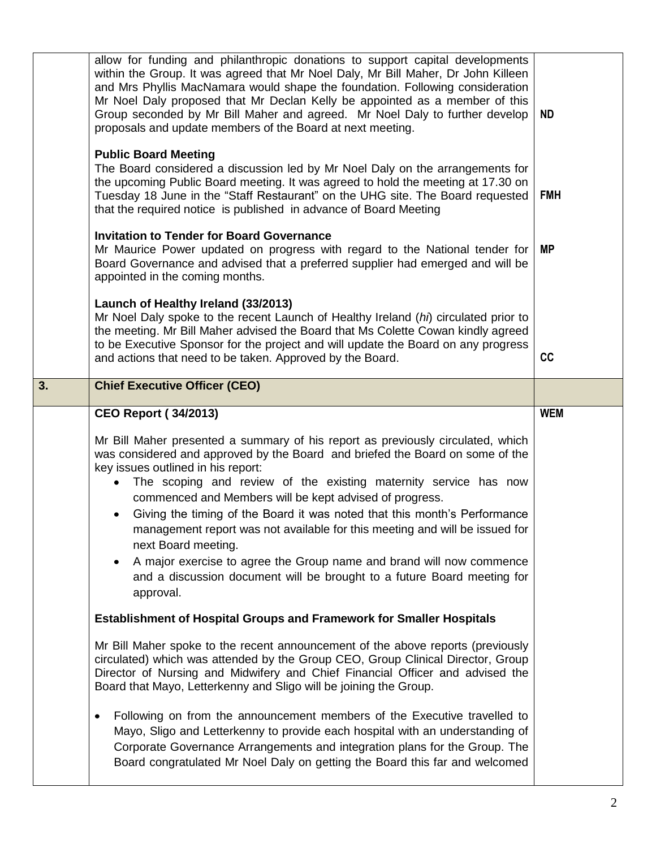|    | allow for funding and philanthropic donations to support capital developments<br>within the Group. It was agreed that Mr Noel Daly, Mr Bill Maher, Dr John Killeen<br>and Mrs Phyllis MacNamara would shape the foundation. Following consideration<br>Mr Noel Daly proposed that Mr Declan Kelly be appointed as a member of this<br>Group seconded by Mr Bill Maher and agreed. Mr Noel Daly to further develop<br>proposals and update members of the Board at next meeting.                                                                                                                                                                                                               | <b>ND</b>  |
|----|-----------------------------------------------------------------------------------------------------------------------------------------------------------------------------------------------------------------------------------------------------------------------------------------------------------------------------------------------------------------------------------------------------------------------------------------------------------------------------------------------------------------------------------------------------------------------------------------------------------------------------------------------------------------------------------------------|------------|
|    | <b>Public Board Meeting</b><br>The Board considered a discussion led by Mr Noel Daly on the arrangements for<br>the upcoming Public Board meeting. It was agreed to hold the meeting at 17.30 on<br>Tuesday 18 June in the "Staff Restaurant" on the UHG site. The Board requested<br>that the required notice is published in advance of Board Meeting                                                                                                                                                                                                                                                                                                                                       | <b>FMH</b> |
|    | <b>Invitation to Tender for Board Governance</b><br>Mr Maurice Power updated on progress with regard to the National tender for<br>Board Governance and advised that a preferred supplier had emerged and will be<br>appointed in the coming months.                                                                                                                                                                                                                                                                                                                                                                                                                                          | <b>MP</b>  |
|    | Launch of Healthy Ireland (33/2013)<br>Mr Noel Daly spoke to the recent Launch of Healthy Ireland (hi) circulated prior to<br>the meeting. Mr Bill Maher advised the Board that Ms Colette Cowan kindly agreed<br>to be Executive Sponsor for the project and will update the Board on any progress<br>and actions that need to be taken. Approved by the Board.                                                                                                                                                                                                                                                                                                                              | cc         |
| 3. | <b>Chief Executive Officer (CEO)</b>                                                                                                                                                                                                                                                                                                                                                                                                                                                                                                                                                                                                                                                          |            |
|    | <b>CEO Report (34/2013)</b>                                                                                                                                                                                                                                                                                                                                                                                                                                                                                                                                                                                                                                                                   | <b>WEM</b> |
|    | Mr Bill Maher presented a summary of his report as previously circulated, which<br>was considered and approved by the Board and briefed the Board on some of the<br>key issues outlined in his report:<br>The scoping and review of the existing maternity service has now<br>commenced and Members will be kept advised of progress.<br>Giving the timing of the Board it was noted that this month's Performance<br>management report was not available for this meeting and will be issued for<br>next Board meeting.<br>A major exercise to agree the Group name and brand will now commence<br>٠<br>and a discussion document will be brought to a future Board meeting for<br>approval. |            |
|    | <b>Establishment of Hospital Groups and Framework for Smaller Hospitals</b>                                                                                                                                                                                                                                                                                                                                                                                                                                                                                                                                                                                                                   |            |
|    | Mr Bill Maher spoke to the recent announcement of the above reports (previously<br>circulated) which was attended by the Group CEO, Group Clinical Director, Group<br>Director of Nursing and Midwifery and Chief Financial Officer and advised the<br>Board that Mayo, Letterkenny and Sligo will be joining the Group.                                                                                                                                                                                                                                                                                                                                                                      |            |
|    | Following on from the announcement members of the Executive travelled to<br>$\bullet$<br>Mayo, Sligo and Letterkenny to provide each hospital with an understanding of<br>Corporate Governance Arrangements and integration plans for the Group. The<br>Board congratulated Mr Noel Daly on getting the Board this far and welcomed                                                                                                                                                                                                                                                                                                                                                           |            |
|    |                                                                                                                                                                                                                                                                                                                                                                                                                                                                                                                                                                                                                                                                                               |            |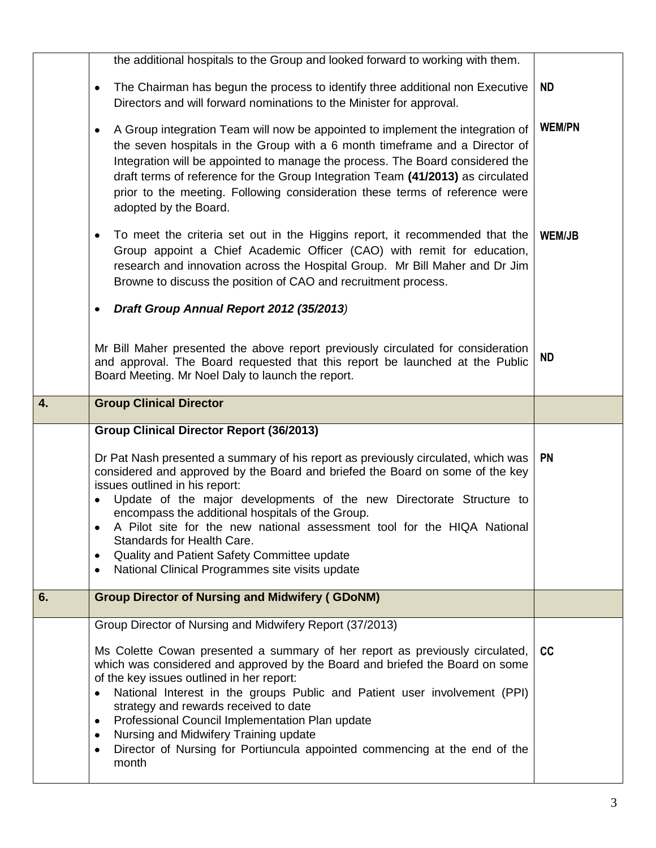|    | the additional hospitals to the Group and looked forward to working with them.                                                                                                                                                                                                                                                                                                                                                                                                                                                                                |               |
|----|---------------------------------------------------------------------------------------------------------------------------------------------------------------------------------------------------------------------------------------------------------------------------------------------------------------------------------------------------------------------------------------------------------------------------------------------------------------------------------------------------------------------------------------------------------------|---------------|
|    | The Chairman has begun the process to identify three additional non Executive<br>٠<br>Directors and will forward nominations to the Minister for approval.                                                                                                                                                                                                                                                                                                                                                                                                    | <b>ND</b>     |
|    | A Group integration Team will now be appointed to implement the integration of<br>$\bullet$<br>the seven hospitals in the Group with a 6 month timeframe and a Director of<br>Integration will be appointed to manage the process. The Board considered the<br>draft terms of reference for the Group Integration Team (41/2013) as circulated<br>prior to the meeting. Following consideration these terms of reference were<br>adopted by the Board.                                                                                                        | <b>WEM/PN</b> |
|    | To meet the criteria set out in the Higgins report, it recommended that the<br>٠<br>Group appoint a Chief Academic Officer (CAO) with remit for education,<br>research and innovation across the Hospital Group. Mr Bill Maher and Dr Jim<br>Browne to discuss the position of CAO and recruitment process.                                                                                                                                                                                                                                                   | <b>WEM/JB</b> |
|    | Draft Group Annual Report 2012 (35/2013)<br>٠                                                                                                                                                                                                                                                                                                                                                                                                                                                                                                                 |               |
|    | Mr Bill Maher presented the above report previously circulated for consideration<br>and approval. The Board requested that this report be launched at the Public<br>Board Meeting. Mr Noel Daly to launch the report.                                                                                                                                                                                                                                                                                                                                         | <b>ND</b>     |
| 4. | <b>Group Clinical Director</b>                                                                                                                                                                                                                                                                                                                                                                                                                                                                                                                                |               |
|    | <b>Group Clinical Director Report (36/2013)</b>                                                                                                                                                                                                                                                                                                                                                                                                                                                                                                               |               |
|    | Dr Pat Nash presented a summary of his report as previously circulated, which was<br>considered and approved by the Board and briefed the Board on some of the key<br>issues outlined in his report:<br>Update of the major developments of the new Directorate Structure to<br>٠<br>encompass the additional hospitals of the Group.<br>A Pilot site for the new national assessment tool for the HIQA National<br>Standards for Health Care.<br>Quality and Patient Safety Committee update<br>National Clinical Programmes site visits update<br>$\bullet$ | <b>PN</b>     |
| 6. | <b>Group Director of Nursing and Midwifery (GDoNM)</b>                                                                                                                                                                                                                                                                                                                                                                                                                                                                                                        |               |
|    | Group Director of Nursing and Midwifery Report (37/2013)                                                                                                                                                                                                                                                                                                                                                                                                                                                                                                      |               |
|    | Ms Colette Cowan presented a summary of her report as previously circulated,<br>which was considered and approved by the Board and briefed the Board on some<br>of the key issues outlined in her report:<br>National Interest in the groups Public and Patient user involvement (PPI)<br>$\bullet$<br>strategy and rewards received to date<br>Professional Council Implementation Plan update<br>Nursing and Midwifery Training update<br>٠                                                                                                                 | cc            |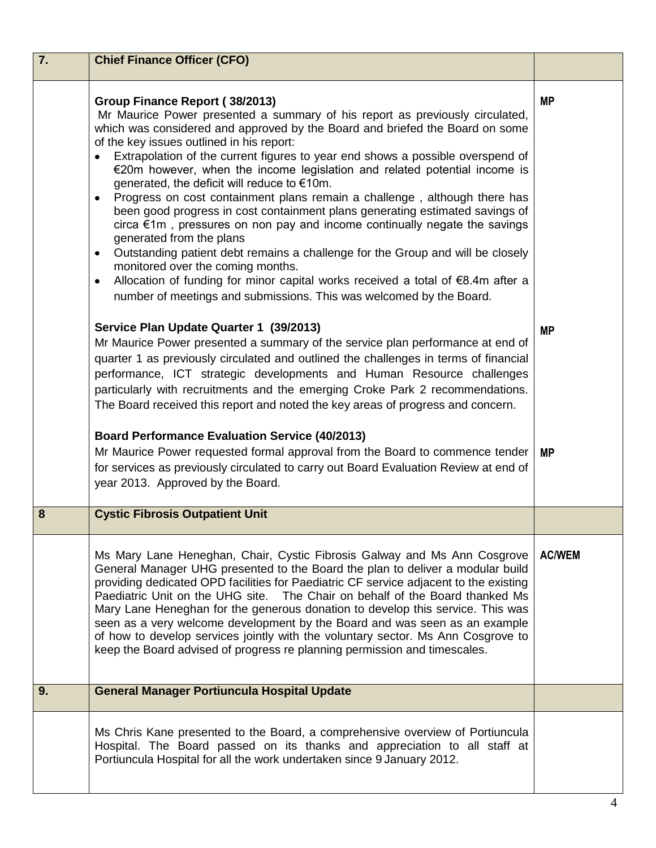| 7. | <b>Chief Finance Officer (CFO)</b>                                                                                                                                                                                                                                                                                                                                                                                                                                                                                                                                                                                                                                                                                                                                                                                                                                                                                                                                                                                                                        |                        |
|----|-----------------------------------------------------------------------------------------------------------------------------------------------------------------------------------------------------------------------------------------------------------------------------------------------------------------------------------------------------------------------------------------------------------------------------------------------------------------------------------------------------------------------------------------------------------------------------------------------------------------------------------------------------------------------------------------------------------------------------------------------------------------------------------------------------------------------------------------------------------------------------------------------------------------------------------------------------------------------------------------------------------------------------------------------------------|------------------------|
|    | Group Finance Report (38/2013)<br>Mr Maurice Power presented a summary of his report as previously circulated,<br>which was considered and approved by the Board and briefed the Board on some<br>of the key issues outlined in his report:<br>Extrapolation of the current figures to year end shows a possible overspend of<br>€20m however, when the income legislation and related potential income is<br>generated, the deficit will reduce to €10m.<br>Progress on cost containment plans remain a challenge, although there has<br>$\bullet$<br>been good progress in cost containment plans generating estimated savings of<br>circa $\epsilon$ 1m, pressures on non pay and income continually negate the savings<br>generated from the plans<br>Outstanding patient debt remains a challenge for the Group and will be closely<br>$\bullet$<br>monitored over the coming months.<br>Allocation of funding for minor capital works received a total of €8.4m after a<br>٠<br>number of meetings and submissions. This was welcomed by the Board. | <b>MP</b>              |
|    | Service Plan Update Quarter 1 (39/2013)<br>Mr Maurice Power presented a summary of the service plan performance at end of<br>quarter 1 as previously circulated and outlined the challenges in terms of financial<br>performance, ICT strategic developments and Human Resource challenges<br>particularly with recruitments and the emerging Croke Park 2 recommendations.<br>The Board received this report and noted the key areas of progress and concern.<br><b>Board Performance Evaluation Service (40/2013)</b><br>Mr Maurice Power requested formal approval from the Board to commence tender<br>for services as previously circulated to carry out Board Evaluation Review at end of<br>year 2013. Approved by the Board.                                                                                                                                                                                                                                                                                                                      | <b>MP</b><br><b>MP</b> |
| 8  | <b>Cystic Fibrosis Outpatient Unit</b>                                                                                                                                                                                                                                                                                                                                                                                                                                                                                                                                                                                                                                                                                                                                                                                                                                                                                                                                                                                                                    |                        |
|    | Ms Mary Lane Heneghan, Chair, Cystic Fibrosis Galway and Ms Ann Cosgrove<br>General Manager UHG presented to the Board the plan to deliver a modular build<br>providing dedicated OPD facilities for Paediatric CF service adjacent to the existing<br>Paediatric Unit on the UHG site. The Chair on behalf of the Board thanked Ms<br>Mary Lane Heneghan for the generous donation to develop this service. This was<br>seen as a very welcome development by the Board and was seen as an example<br>of how to develop services jointly with the voluntary sector. Ms Ann Cosgrove to<br>keep the Board advised of progress re planning permission and timescales.                                                                                                                                                                                                                                                                                                                                                                                      | <b>AC/WEM</b>          |
| 9. | <b>General Manager Portiuncula Hospital Update</b>                                                                                                                                                                                                                                                                                                                                                                                                                                                                                                                                                                                                                                                                                                                                                                                                                                                                                                                                                                                                        |                        |
|    | Ms Chris Kane presented to the Board, a comprehensive overview of Portiuncula<br>Hospital. The Board passed on its thanks and appreciation to all staff at<br>Portiuncula Hospital for all the work undertaken since 9 January 2012.                                                                                                                                                                                                                                                                                                                                                                                                                                                                                                                                                                                                                                                                                                                                                                                                                      |                        |